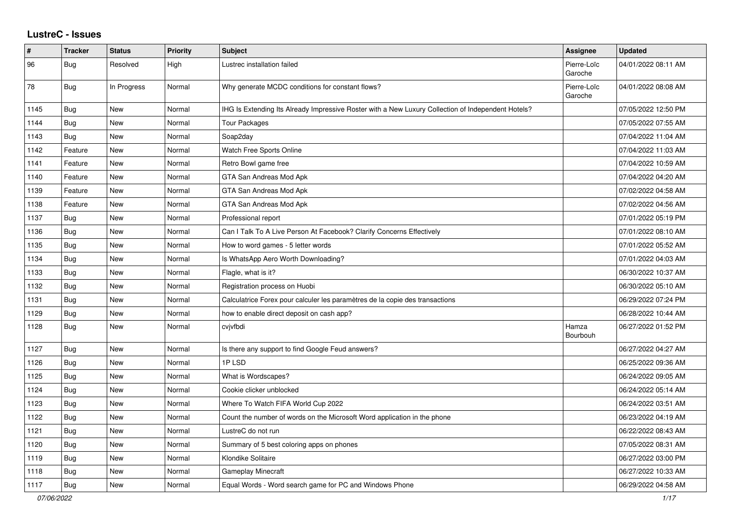## **LustreC - Issues**

| #    | <b>Tracker</b> | <b>Status</b> | Priority | <b>Subject</b>                                                                                     | Assignee               | <b>Updated</b>      |
|------|----------------|---------------|----------|----------------------------------------------------------------------------------------------------|------------------------|---------------------|
| 96   | Bug            | Resolved      | High     | Lustrec installation failed                                                                        | Pierre-Loïc<br>Garoche | 04/01/2022 08:11 AM |
| 78   | Bug            | In Progress   | Normal   | Why generate MCDC conditions for constant flows?                                                   | Pierre-Loïc<br>Garoche | 04/01/2022 08:08 AM |
| 1145 | Bug            | <b>New</b>    | Normal   | IHG Is Extending Its Already Impressive Roster with a New Luxury Collection of Independent Hotels? |                        | 07/05/2022 12:50 PM |
| 1144 | Bug            | <b>New</b>    | Normal   | <b>Tour Packages</b>                                                                               |                        | 07/05/2022 07:55 AM |
| 1143 | Bug            | <b>New</b>    | Normal   | Soap2day                                                                                           |                        | 07/04/2022 11:04 AM |
| 1142 | Feature        | <b>New</b>    | Normal   | Watch Free Sports Online                                                                           |                        | 07/04/2022 11:03 AM |
| 1141 | Feature        | <b>New</b>    | Normal   | Retro Bowl game free                                                                               |                        | 07/04/2022 10:59 AM |
| 1140 | Feature        | <b>New</b>    | Normal   | GTA San Andreas Mod Apk                                                                            |                        | 07/04/2022 04:20 AM |
| 1139 | Feature        | <b>New</b>    | Normal   | GTA San Andreas Mod Apk                                                                            |                        | 07/02/2022 04:58 AM |
| 1138 | Feature        | <b>New</b>    | Normal   | GTA San Andreas Mod Apk                                                                            |                        | 07/02/2022 04:56 AM |
| 1137 | Bug            | <b>New</b>    | Normal   | Professional report                                                                                |                        | 07/01/2022 05:19 PM |
| 1136 | Bug            | <b>New</b>    | Normal   | Can I Talk To A Live Person At Facebook? Clarify Concerns Effectively                              |                        | 07/01/2022 08:10 AM |
| 1135 | <b>Bug</b>     | <b>New</b>    | Normal   | How to word games - 5 letter words                                                                 |                        | 07/01/2022 05:52 AM |
| 1134 | Bug            | <b>New</b>    | Normal   | Is WhatsApp Aero Worth Downloading?                                                                |                        | 07/01/2022 04:03 AM |
| 1133 | Bug            | <b>New</b>    | Normal   | Flagle, what is it?                                                                                |                        | 06/30/2022 10:37 AM |
| 1132 | <b>Bug</b>     | <b>New</b>    | Normal   | Registration process on Huobi                                                                      |                        | 06/30/2022 05:10 AM |
| 1131 | <b>Bug</b>     | <b>New</b>    | Normal   | Calculatrice Forex pour calculer les paramètres de la copie des transactions                       |                        | 06/29/2022 07:24 PM |
| 1129 | Bug            | <b>New</b>    | Normal   | how to enable direct deposit on cash app?                                                          |                        | 06/28/2022 10:44 AM |
| 1128 | <b>Bug</b>     | <b>New</b>    | Normal   | cvjvfbdi                                                                                           | Hamza<br>Bourbouh      | 06/27/2022 01:52 PM |
| 1127 | Bug            | <b>New</b>    | Normal   | Is there any support to find Google Feud answers?                                                  |                        | 06/27/2022 04:27 AM |
| 1126 | Bug            | <b>New</b>    | Normal   | 1PLSD                                                                                              |                        | 06/25/2022 09:36 AM |
| 1125 | Bug            | <b>New</b>    | Normal   | What is Wordscapes?                                                                                |                        | 06/24/2022 09:05 AM |
| 1124 | Bug            | <b>New</b>    | Normal   | Cookie clicker unblocked                                                                           |                        | 06/24/2022 05:14 AM |
| 1123 | Bug            | <b>New</b>    | Normal   | Where To Watch FIFA World Cup 2022                                                                 |                        | 06/24/2022 03:51 AM |
| 1122 | <b>Bug</b>     | <b>New</b>    | Normal   | Count the number of words on the Microsoft Word application in the phone                           |                        | 06/23/2022 04:19 AM |
| 1121 | <b>Bug</b>     | <b>New</b>    | Normal   | LustreC do not run                                                                                 |                        | 06/22/2022 08:43 AM |
| 1120 | Bug            | <b>New</b>    | Normal   | Summary of 5 best coloring apps on phones                                                          |                        | 07/05/2022 08:31 AM |
| 1119 | Bug            | <b>New</b>    | Normal   | Klondike Solitaire                                                                                 |                        | 06/27/2022 03:00 PM |
| 1118 | <b>Bug</b>     | <b>New</b>    | Normal   | Gameplay Minecraft                                                                                 |                        | 06/27/2022 10:33 AM |
| 1117 | Bug            | <b>New</b>    | Normal   | Equal Words - Word search game for PC and Windows Phone                                            |                        | 06/29/2022 04:58 AM |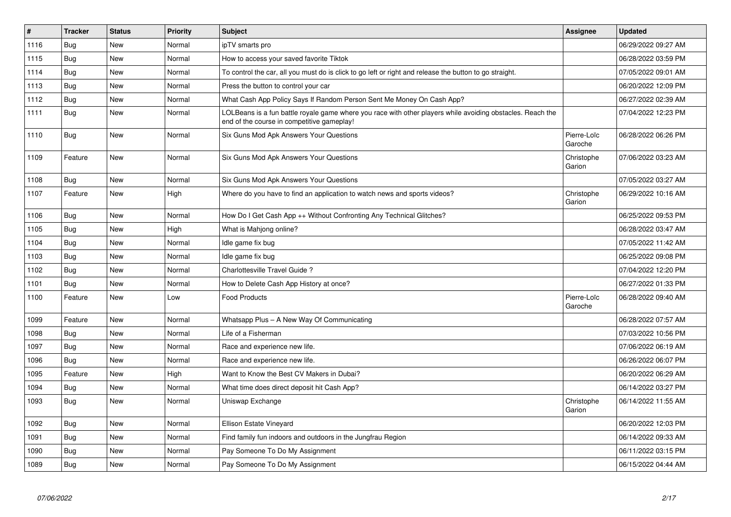| #    | <b>Tracker</b> | <b>Status</b> | <b>Priority</b> | <b>Subject</b>                                                                                                                                           | Assignee               | <b>Updated</b>      |
|------|----------------|---------------|-----------------|----------------------------------------------------------------------------------------------------------------------------------------------------------|------------------------|---------------------|
| 1116 | <b>Bug</b>     | New           | Normal          | ipTV smarts pro                                                                                                                                          |                        | 06/29/2022 09:27 AM |
| 1115 | <b>Bug</b>     | New           | Normal          | How to access your saved favorite Tiktok                                                                                                                 |                        | 06/28/2022 03:59 PM |
| 1114 | Bug            | New           | Normal          | To control the car, all you must do is click to go left or right and release the button to go straight.                                                  |                        | 07/05/2022 09:01 AM |
| 1113 | Bug            | New           | Normal          | Press the button to control your car                                                                                                                     |                        | 06/20/2022 12:09 PM |
| 1112 | Bug            | New           | Normal          | What Cash App Policy Says If Random Person Sent Me Money On Cash App?                                                                                    |                        | 06/27/2022 02:39 AM |
| 1111 | <b>Bug</b>     | New           | Normal          | LOLBeans is a fun battle royale game where you race with other players while avoiding obstacles. Reach the<br>end of the course in competitive gameplay! |                        | 07/04/2022 12:23 PM |
| 1110 | <b>Bug</b>     | New           | Normal          | Six Guns Mod Apk Answers Your Questions                                                                                                                  | Pierre-Loïc<br>Garoche | 06/28/2022 06:26 PM |
| 1109 | Feature        | New           | Normal          | Six Guns Mod Apk Answers Your Questions                                                                                                                  | Christophe<br>Garion   | 07/06/2022 03:23 AM |
| 1108 | Bug            | New           | Normal          | Six Guns Mod Apk Answers Your Questions                                                                                                                  |                        | 07/05/2022 03:27 AM |
| 1107 | Feature        | New           | High            | Where do you have to find an application to watch news and sports videos?                                                                                | Christophe<br>Garion   | 06/29/2022 10:16 AM |
| 1106 | Bug            | New           | Normal          | How Do I Get Cash App ++ Without Confronting Any Technical Glitches?                                                                                     |                        | 06/25/2022 09:53 PM |
| 1105 | Bug            | New           | High            | What is Mahjong online?                                                                                                                                  |                        | 06/28/2022 03:47 AM |
| 1104 | <b>Bug</b>     | New           | Normal          | Idle game fix bug                                                                                                                                        |                        | 07/05/2022 11:42 AM |
| 1103 | Bug            | New           | Normal          | Idle game fix bug                                                                                                                                        |                        | 06/25/2022 09:08 PM |
| 1102 | <b>Bug</b>     | New           | Normal          | Charlottesville Travel Guide?                                                                                                                            |                        | 07/04/2022 12:20 PM |
| 1101 | Bug            | New           | Normal          | How to Delete Cash App History at once?                                                                                                                  |                        | 06/27/2022 01:33 PM |
| 1100 | Feature        | New           | Low             | <b>Food Products</b>                                                                                                                                     | Pierre-Loïc<br>Garoche | 06/28/2022 09:40 AM |
| 1099 | Feature        | New           | Normal          | Whatsapp Plus - A New Way Of Communicating                                                                                                               |                        | 06/28/2022 07:57 AM |
| 1098 | Bug            | New           | Normal          | Life of a Fisherman                                                                                                                                      |                        | 07/03/2022 10:56 PM |
| 1097 | <b>Bug</b>     | New           | Normal          | Race and experience new life.                                                                                                                            |                        | 07/06/2022 06:19 AM |
| 1096 | Bug            | New           | Normal          | Race and experience new life.                                                                                                                            |                        | 06/26/2022 06:07 PM |
| 1095 | Feature        | <b>New</b>    | High            | Want to Know the Best CV Makers in Dubai?                                                                                                                |                        | 06/20/2022 06:29 AM |
| 1094 | Bug            | New           | Normal          | What time does direct deposit hit Cash App?                                                                                                              |                        | 06/14/2022 03:27 PM |
| 1093 | <b>Bug</b>     | New           | Normal          | Uniswap Exchange                                                                                                                                         | Christophe<br>Garion   | 06/14/2022 11:55 AM |
| 1092 | Bug            | <b>New</b>    | Normal          | Ellison Estate Vineyard                                                                                                                                  |                        | 06/20/2022 12:03 PM |
| 1091 | Bug            | New           | Normal          | Find family fun indoors and outdoors in the Jungfrau Region                                                                                              |                        | 06/14/2022 09:33 AM |
| 1090 | Bug            | New           | Normal          | Pay Someone To Do My Assignment                                                                                                                          |                        | 06/11/2022 03:15 PM |
| 1089 | Bug            | New           | Normal          | Pay Someone To Do My Assignment                                                                                                                          |                        | 06/15/2022 04:44 AM |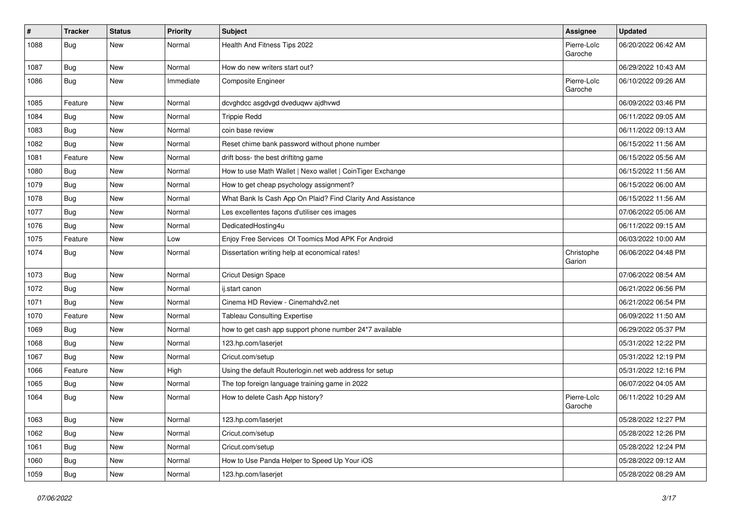| $\vert$ # | <b>Tracker</b> | <b>Status</b> | <b>Priority</b> | <b>Subject</b>                                              | Assignee               | <b>Updated</b>      |
|-----------|----------------|---------------|-----------------|-------------------------------------------------------------|------------------------|---------------------|
| 1088      | Bug            | <b>New</b>    | Normal          | Health And Fitness Tips 2022                                | Pierre-Loïc<br>Garoche | 06/20/2022 06:42 AM |
| 1087      | Bug            | <b>New</b>    | Normal          | How do new writers start out?                               |                        | 06/29/2022 10:43 AM |
| 1086      | Bug            | <b>New</b>    | Immediate       | <b>Composite Engineer</b>                                   | Pierre-Loïc<br>Garoche | 06/10/2022 09:26 AM |
| 1085      | Feature        | <b>New</b>    | Normal          | dcvghdcc asgdvgd dveduqwv ajdhvwd                           |                        | 06/09/2022 03:46 PM |
| 1084      | Bug            | <b>New</b>    | Normal          | <b>Trippie Redd</b>                                         |                        | 06/11/2022 09:05 AM |
| 1083      | Bug            | <b>New</b>    | Normal          | coin base review                                            |                        | 06/11/2022 09:13 AM |
| 1082      | Bug            | <b>New</b>    | Normal          | Reset chime bank password without phone number              |                        | 06/15/2022 11:56 AM |
| 1081      | Feature        | <b>New</b>    | Normal          | drift boss- the best driftitng game                         |                        | 06/15/2022 05:56 AM |
| 1080      | Bug            | New           | Normal          | How to use Math Wallet   Nexo wallet   CoinTiger Exchange   |                        | 06/15/2022 11:56 AM |
| 1079      | Bug            | <b>New</b>    | Normal          | How to get cheap psychology assignment?                     |                        | 06/15/2022 06:00 AM |
| 1078      | Bug            | <b>New</b>    | Normal          | What Bank Is Cash App On Plaid? Find Clarity And Assistance |                        | 06/15/2022 11:56 AM |
| 1077      | Bug            | <b>New</b>    | Normal          | Les excellentes façons d'utiliser ces images                |                        | 07/06/2022 05:06 AM |
| 1076      | Bug            | <b>New</b>    | Normal          | DedicatedHosting4u                                          |                        | 06/11/2022 09:15 AM |
| 1075      | Feature        | New           | Low             | Enjoy Free Services Of Toomics Mod APK For Android          |                        | 06/03/2022 10:00 AM |
| 1074      | Bug            | <b>New</b>    | Normal          | Dissertation writing help at economical rates!              | Christophe<br>Garion   | 06/06/2022 04:48 PM |
| 1073      | Bug            | <b>New</b>    | Normal          | Cricut Design Space                                         |                        | 07/06/2022 08:54 AM |
| 1072      | Bug            | <b>New</b>    | Normal          | ij.start canon                                              |                        | 06/21/2022 06:56 PM |
| 1071      | Bug            | New           | Normal          | Cinema HD Review - Cinemahdv2.net                           |                        | 06/21/2022 06:54 PM |
| 1070      | Feature        | <b>New</b>    | Normal          | <b>Tableau Consulting Expertise</b>                         |                        | 06/09/2022 11:50 AM |
| 1069      | Bug            | <b>New</b>    | Normal          | how to get cash app support phone number 24*7 available     |                        | 06/29/2022 05:37 PM |
| 1068      | Bug            | New           | Normal          | 123.hp.com/laserjet                                         |                        | 05/31/2022 12:22 PM |
| 1067      | Bug            | <b>New</b>    | Normal          | Cricut.com/setup                                            |                        | 05/31/2022 12:19 PM |
| 1066      | Feature        | <b>New</b>    | High            | Using the default Routerlogin.net web address for setup     |                        | 05/31/2022 12:16 PM |
| 1065      | Bug            | <b>New</b>    | Normal          | The top foreign language training game in 2022              |                        | 06/07/2022 04:05 AM |
| 1064      | Bug            | <b>New</b>    | Normal          | How to delete Cash App history?                             | Pierre-Loïc<br>Garoche | 06/11/2022 10:29 AM |
| 1063      | <b>Bug</b>     | New           | Normal          | 123.hp.com/laserjet                                         |                        | 05/28/2022 12:27 PM |
| 1062      | Bug            | New           | Normal          | Cricut.com/setup                                            |                        | 05/28/2022 12:26 PM |
| 1061      | Bug            | New           | Normal          | Cricut.com/setup                                            |                        | 05/28/2022 12:24 PM |
| 1060      | Bug            | New           | Normal          | How to Use Panda Helper to Speed Up Your iOS                |                        | 05/28/2022 09:12 AM |
| 1059      | <b>Bug</b>     | New           | Normal          | 123.hp.com/laserjet                                         |                        | 05/28/2022 08:29 AM |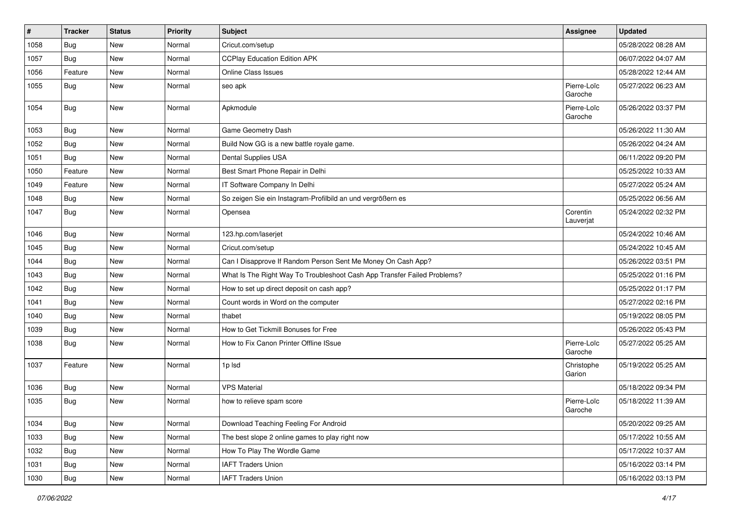| $\vert$ # | <b>Tracker</b> | <b>Status</b> | <b>Priority</b> | <b>Subject</b>                                                           | Assignee               | <b>Updated</b>      |
|-----------|----------------|---------------|-----------------|--------------------------------------------------------------------------|------------------------|---------------------|
| 1058      | Bug            | New           | Normal          | Cricut.com/setup                                                         |                        | 05/28/2022 08:28 AM |
| 1057      | Bug            | New           | Normal          | <b>CCPlay Education Edition APK</b>                                      |                        | 06/07/2022 04:07 AM |
| 1056      | Feature        | New           | Normal          | <b>Online Class Issues</b>                                               |                        | 05/28/2022 12:44 AM |
| 1055      | Bug            | New           | Normal          | seo apk                                                                  | Pierre-Loïc<br>Garoche | 05/27/2022 06:23 AM |
| 1054      | <b>Bug</b>     | New           | Normal          | Apkmodule                                                                | Pierre-Loïc<br>Garoche | 05/26/2022 03:37 PM |
| 1053      | Bug            | New           | Normal          | Game Geometry Dash                                                       |                        | 05/26/2022 11:30 AM |
| 1052      | Bug            | New           | Normal          | Build Now GG is a new battle royale game.                                |                        | 05/26/2022 04:24 AM |
| 1051      | Bug            | New           | Normal          | Dental Supplies USA                                                      |                        | 06/11/2022 09:20 PM |
| 1050      | Feature        | <b>New</b>    | Normal          | Best Smart Phone Repair in Delhi                                         |                        | 05/25/2022 10:33 AM |
| 1049      | Feature        | <b>New</b>    | Normal          | IT Software Company In Delhi                                             |                        | 05/27/2022 05:24 AM |
| 1048      | Bug            | New           | Normal          | So zeigen Sie ein Instagram-Profilbild an und vergrößern es              |                        | 05/25/2022 06:56 AM |
| 1047      | Bug            | New           | Normal          | Opensea                                                                  | Corentin<br>Lauverjat  | 05/24/2022 02:32 PM |
| 1046      | Bug            | <b>New</b>    | Normal          | 123.hp.com/laserjet                                                      |                        | 05/24/2022 10:46 AM |
| 1045      | Bug            | New           | Normal          | Cricut.com/setup                                                         |                        | 05/24/2022 10:45 AM |
| 1044      | Bug            | <b>New</b>    | Normal          | Can I Disapprove If Random Person Sent Me Money On Cash App?             |                        | 05/26/2022 03:51 PM |
| 1043      | <b>Bug</b>     | New           | Normal          | What Is The Right Way To Troubleshoot Cash App Transfer Failed Problems? |                        | 05/25/2022 01:16 PM |
| 1042      | Bug            | <b>New</b>    | Normal          | How to set up direct deposit on cash app?                                |                        | 05/25/2022 01:17 PM |
| 1041      | Bug            | New           | Normal          | Count words in Word on the computer                                      |                        | 05/27/2022 02:16 PM |
| 1040      | Bug            | New           | Normal          | thabet                                                                   |                        | 05/19/2022 08:05 PM |
| 1039      | <b>Bug</b>     | <b>New</b>    | Normal          | How to Get Tickmill Bonuses for Free                                     |                        | 05/26/2022 05:43 PM |
| 1038      | <b>Bug</b>     | <b>New</b>    | Normal          | How to Fix Canon Printer Offline ISsue                                   | Pierre-Loïc<br>Garoche | 05/27/2022 05:25 AM |
| 1037      | Feature        | New           | Normal          | 1p lsd                                                                   | Christophe<br>Garion   | 05/19/2022 05:25 AM |
| 1036      | <b>Bug</b>     | <b>New</b>    | Normal          | <b>VPS Material</b>                                                      |                        | 05/18/2022 09:34 PM |
| 1035      | <b>Bug</b>     | New           | Normal          | how to relieve spam score                                                | Pierre-Loïc<br>Garoche | 05/18/2022 11:39 AM |
| 1034      | Bug            | New           | Normal          | Download Teaching Feeling For Android                                    |                        | 05/20/2022 09:25 AM |
| 1033      | <b>Bug</b>     | New           | Normal          | The best slope 2 online games to play right now                          |                        | 05/17/2022 10:55 AM |
| 1032      | <b>Bug</b>     | New           | Normal          | How To Play The Wordle Game                                              |                        | 05/17/2022 10:37 AM |
| 1031      | <b>Bug</b>     | New           | Normal          | <b>IAFT Traders Union</b>                                                |                        | 05/16/2022 03:14 PM |
| 1030      | Bug            | New           | Normal          | <b>IAFT Traders Union</b>                                                |                        | 05/16/2022 03:13 PM |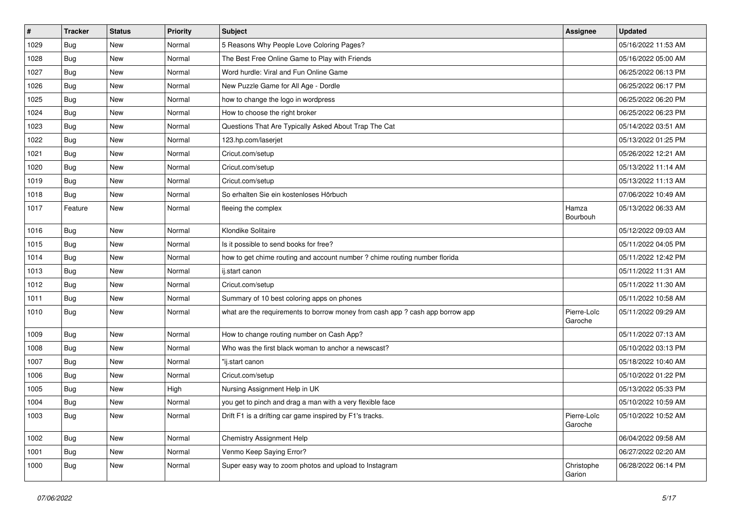| $\#$ | <b>Tracker</b> | <b>Status</b> | <b>Priority</b> | <b>Subject</b>                                                                | <b>Assignee</b>        | <b>Updated</b>      |
|------|----------------|---------------|-----------------|-------------------------------------------------------------------------------|------------------------|---------------------|
| 1029 | Bug            | New           | Normal          | 5 Reasons Why People Love Coloring Pages?                                     |                        | 05/16/2022 11:53 AM |
| 1028 | Bug            | <b>New</b>    | Normal          | The Best Free Online Game to Play with Friends                                |                        | 05/16/2022 05:00 AM |
| 1027 | Bug            | New           | Normal          | Word hurdle: Viral and Fun Online Game                                        |                        | 06/25/2022 06:13 PM |
| 1026 | Bug            | <b>New</b>    | Normal          | New Puzzle Game for All Age - Dordle                                          |                        | 06/25/2022 06:17 PM |
| 1025 | Bug            | <b>New</b>    | Normal          | how to change the logo in wordpress                                           |                        | 06/25/2022 06:20 PM |
| 1024 | Bug            | New           | Normal          | How to choose the right broker                                                |                        | 06/25/2022 06:23 PM |
| 1023 | Bug            | <b>New</b>    | Normal          | Questions That Are Typically Asked About Trap The Cat                         |                        | 05/14/2022 03:51 AM |
| 1022 | Bug            | New           | Normal          | 123.hp.com/laserjet                                                           |                        | 05/13/2022 01:25 PM |
| 1021 | <b>Bug</b>     | New           | Normal          | Cricut.com/setup                                                              |                        | 05/26/2022 12:21 AM |
| 1020 | Bug            | <b>New</b>    | Normal          | Cricut.com/setup                                                              |                        | 05/13/2022 11:14 AM |
| 1019 | Bug            | New           | Normal          | Cricut.com/setup                                                              |                        | 05/13/2022 11:13 AM |
| 1018 | Bug            | <b>New</b>    | Normal          | So erhalten Sie ein kostenloses Hörbuch                                       |                        | 07/06/2022 10:49 AM |
| 1017 | Feature        | <b>New</b>    | Normal          | fleeing the complex                                                           | Hamza<br>Bourbouh      | 05/13/2022 06:33 AM |
| 1016 | Bug            | <b>New</b>    | Normal          | Klondike Solitaire                                                            |                        | 05/12/2022 09:03 AM |
| 1015 | Bug            | New           | Normal          | Is it possible to send books for free?                                        |                        | 05/11/2022 04:05 PM |
| 1014 | Bug            | <b>New</b>    | Normal          | how to get chime routing and account number ? chime routing number florida    |                        | 05/11/2022 12:42 PM |
| 1013 | Bug            | <b>New</b>    | Normal          | ij.start canon                                                                |                        | 05/11/2022 11:31 AM |
| 1012 | Bug            | <b>New</b>    | Normal          | Cricut.com/setup                                                              |                        | 05/11/2022 11:30 AM |
| 1011 | Bug            | <b>New</b>    | Normal          | Summary of 10 best coloring apps on phones                                    |                        | 05/11/2022 10:58 AM |
| 1010 | Bug            | New           | Normal          | what are the requirements to borrow money from cash app ? cash app borrow app | Pierre-Loïc<br>Garoche | 05/11/2022 09:29 AM |
| 1009 | Bug            | <b>New</b>    | Normal          | How to change routing number on Cash App?                                     |                        | 05/11/2022 07:13 AM |
| 1008 | <b>Bug</b>     | New           | Normal          | Who was the first black woman to anchor a newscast?                           |                        | 05/10/2022 03:13 PM |
| 1007 | Bug            | <b>New</b>    | Normal          | "ij.start canon                                                               |                        | 05/18/2022 10:40 AM |
| 1006 | Bug            | New           | Normal          | Cricut.com/setup                                                              |                        | 05/10/2022 01:22 PM |
| 1005 | Bug            | <b>New</b>    | High            | Nursing Assignment Help in UK                                                 |                        | 05/13/2022 05:33 PM |
| 1004 | Bug            | New           | Normal          | you get to pinch and drag a man with a very flexible face                     |                        | 05/10/2022 10:59 AM |
| 1003 | <b>Bug</b>     | New           | Normal          | Drift F1 is a drifting car game inspired by F1's tracks.                      | Pierre-Loïc<br>Garoche | 05/10/2022 10:52 AM |
| 1002 | Bug            | New           | Normal          | <b>Chemistry Assignment Help</b>                                              |                        | 06/04/2022 09:58 AM |
| 1001 | Bug            | New           | Normal          | Venmo Keep Saying Error?                                                      |                        | 06/27/2022 02:20 AM |
| 1000 | <b>Bug</b>     | New           | Normal          | Super easy way to zoom photos and upload to Instagram                         | Christophe<br>Garion   | 06/28/2022 06:14 PM |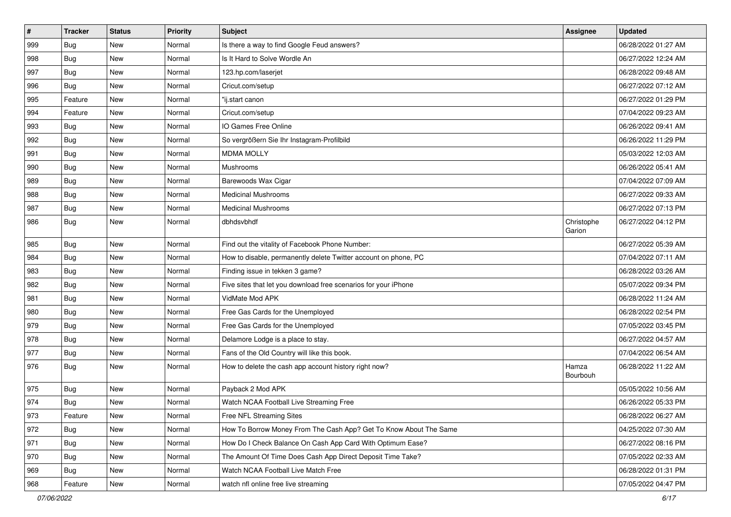| $\sharp$ | <b>Tracker</b> | <b>Status</b> | <b>Priority</b> | <b>Subject</b>                                                    | Assignee             | <b>Updated</b>      |
|----------|----------------|---------------|-----------------|-------------------------------------------------------------------|----------------------|---------------------|
| 999      | Bug            | <b>New</b>    | Normal          | Is there a way to find Google Feud answers?                       |                      | 06/28/2022 01:27 AM |
| 998      | Bug            | New           | Normal          | Is It Hard to Solve Wordle An                                     |                      | 06/27/2022 12:24 AM |
| 997      | <b>Bug</b>     | New           | Normal          | 123.hp.com/laserjet                                               |                      | 06/28/2022 09:48 AM |
| 996      | Bug            | <b>New</b>    | Normal          | Cricut.com/setup                                                  |                      | 06/27/2022 07:12 AM |
| 995      | Feature        | New           | Normal          | "ij.start canon                                                   |                      | 06/27/2022 01:29 PM |
| 994      | Feature        | <b>New</b>    | Normal          | Cricut.com/setup                                                  |                      | 07/04/2022 09:23 AM |
| 993      | <b>Bug</b>     | New           | Normal          | IO Games Free Online                                              |                      | 06/26/2022 09:41 AM |
| 992      | <b>Bug</b>     | <b>New</b>    | Normal          | So vergrößern Sie Ihr Instagram-Profilbild                        |                      | 06/26/2022 11:29 PM |
| 991      | <b>Bug</b>     | <b>New</b>    | Normal          | <b>MDMA MOLLY</b>                                                 |                      | 05/03/2022 12:03 AM |
| 990      | Bug            | <b>New</b>    | Normal          | Mushrooms                                                         |                      | 06/26/2022 05:41 AM |
| 989      | Bug            | New           | Normal          | Barewoods Wax Cigar                                               |                      | 07/04/2022 07:09 AM |
| 988      | <b>Bug</b>     | New           | Normal          | <b>Medicinal Mushrooms</b>                                        |                      | 06/27/2022 09:33 AM |
| 987      | <b>Bug</b>     | <b>New</b>    | Normal          | <b>Medicinal Mushrooms</b>                                        |                      | 06/27/2022 07:13 PM |
| 986      | Bug            | New           | Normal          | dbhdsvbhdf                                                        | Christophe<br>Garion | 06/27/2022 04:12 PM |
| 985      | Bug            | <b>New</b>    | Normal          | Find out the vitality of Facebook Phone Number:                   |                      | 06/27/2022 05:39 AM |
| 984      | <b>Bug</b>     | <b>New</b>    | Normal          | How to disable, permanently delete Twitter account on phone, PC   |                      | 07/04/2022 07:11 AM |
| 983      | Bug            | <b>New</b>    | Normal          | Finding issue in tekken 3 game?                                   |                      | 06/28/2022 03:26 AM |
| 982      | <b>Bug</b>     | <b>New</b>    | Normal          | Five sites that let you download free scenarios for your iPhone   |                      | 05/07/2022 09:34 PM |
| 981      | <b>Bug</b>     | New           | Normal          | VidMate Mod APK                                                   |                      | 06/28/2022 11:24 AM |
| 980      | <b>Bug</b>     | <b>New</b>    | Normal          | Free Gas Cards for the Unemployed                                 |                      | 06/28/2022 02:54 PM |
| 979      | <b>Bug</b>     | <b>New</b>    | Normal          | Free Gas Cards for the Unemployed                                 |                      | 07/05/2022 03:45 PM |
| 978      | <b>Bug</b>     | <b>New</b>    | Normal          | Delamore Lodge is a place to stay.                                |                      | 06/27/2022 04:57 AM |
| 977      | <b>Bug</b>     | New           | Normal          | Fans of the Old Country will like this book.                      |                      | 07/04/2022 06:54 AM |
| 976      | Bug            | New           | Normal          | How to delete the cash app account history right now?             | Hamza<br>Bourbouh    | 06/28/2022 11:22 AM |
| 975      | Bug            | <b>New</b>    | Normal          | Payback 2 Mod APK                                                 |                      | 05/05/2022 10:56 AM |
| 974      | Bug            | <b>New</b>    | Normal          | Watch NCAA Football Live Streaming Free                           |                      | 06/26/2022 05:33 PM |
| 973      | Feature        | New           | Normal          | Free NFL Streaming Sites                                          |                      | 06/28/2022 06:27 AM |
| 972      | Bug            | New           | Normal          | How To Borrow Money From The Cash App? Get To Know About The Same |                      | 04/25/2022 07:30 AM |
| 971      | <b>Bug</b>     | <b>New</b>    | Normal          | How Do I Check Balance On Cash App Card With Optimum Ease?        |                      | 06/27/2022 08:16 PM |
| 970      | Bug            | New           | Normal          | The Amount Of Time Does Cash App Direct Deposit Time Take?        |                      | 07/05/2022 02:33 AM |
| 969      | Bug            | New           | Normal          | Watch NCAA Football Live Match Free                               |                      | 06/28/2022 01:31 PM |
| 968      | Feature        | New           | Normal          | watch nfl online free live streaming                              |                      | 07/05/2022 04:47 PM |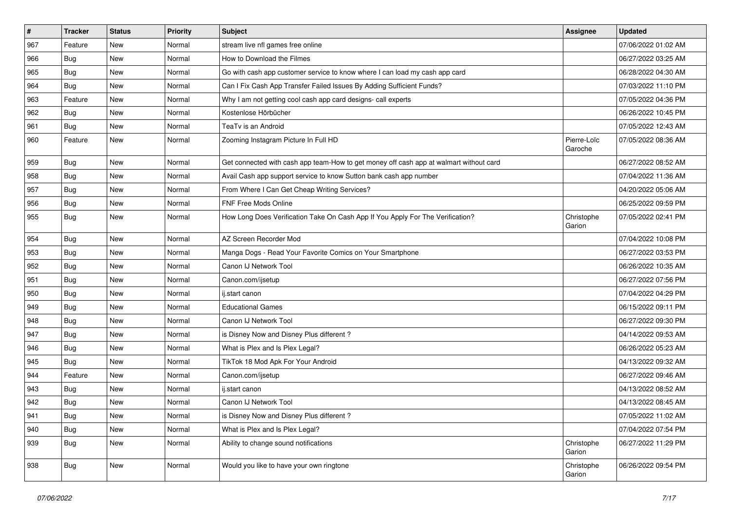| $\vert$ # | <b>Tracker</b> | <b>Status</b> | <b>Priority</b> | <b>Subject</b>                                                                         | <b>Assignee</b>        | <b>Updated</b>      |
|-----------|----------------|---------------|-----------------|----------------------------------------------------------------------------------------|------------------------|---------------------|
| 967       | Feature        | New           | Normal          | stream live nfl games free online                                                      |                        | 07/06/2022 01:02 AM |
| 966       | Bug            | <b>New</b>    | Normal          | How to Download the Filmes                                                             |                        | 06/27/2022 03:25 AM |
| 965       | Bug            | <b>New</b>    | Normal          | Go with cash app customer service to know where I can load my cash app card            |                        | 06/28/2022 04:30 AM |
| 964       | Bug            | New           | Normal          | Can I Fix Cash App Transfer Failed Issues By Adding Sufficient Funds?                  |                        | 07/03/2022 11:10 PM |
| 963       | Feature        | <b>New</b>    | Normal          | Why I am not getting cool cash app card designs- call experts                          |                        | 07/05/2022 04:36 PM |
| 962       | Bug            | New           | Normal          | Kostenlose Hörbücher                                                                   |                        | 06/26/2022 10:45 PM |
| 961       | Bug            | <b>New</b>    | Normal          | TeaTv is an Android                                                                    |                        | 07/05/2022 12:43 AM |
| 960       | Feature        | New           | Normal          | Zooming Instagram Picture In Full HD                                                   | Pierre-Loïc<br>Garoche | 07/05/2022 08:36 AM |
| 959       | Bug            | New           | Normal          | Get connected with cash app team-How to get money off cash app at walmart without card |                        | 06/27/2022 08:52 AM |
| 958       | Bug            | <b>New</b>    | Normal          | Avail Cash app support service to know Sutton bank cash app number                     |                        | 07/04/2022 11:36 AM |
| 957       | <b>Bug</b>     | New           | Normal          | From Where I Can Get Cheap Writing Services?                                           |                        | 04/20/2022 05:06 AM |
| 956       | Bug            | <b>New</b>    | Normal          | <b>FNF Free Mods Online</b>                                                            |                        | 06/25/2022 09:59 PM |
| 955       | Bug            | New           | Normal          | How Long Does Verification Take On Cash App If You Apply For The Verification?         | Christophe<br>Garion   | 07/05/2022 02:41 PM |
| 954       | Bug            | New           | Normal          | AZ Screen Recorder Mod                                                                 |                        | 07/04/2022 10:08 PM |
| 953       | <b>Bug</b>     | <b>New</b>    | Normal          | Manga Dogs - Read Your Favorite Comics on Your Smartphone                              |                        | 06/27/2022 03:53 PM |
| 952       | Bug            | New           | Normal          | Canon IJ Network Tool                                                                  |                        | 06/26/2022 10:35 AM |
| 951       | Bug            | <b>New</b>    | Normal          | Canon.com/ijsetup                                                                      |                        | 06/27/2022 07:56 PM |
| 950       | Bug            | New           | Normal          | ij.start canon                                                                         |                        | 07/04/2022 04:29 PM |
| 949       | Bug            | <b>New</b>    | Normal          | <b>Educational Games</b>                                                               |                        | 06/15/2022 09:11 PM |
| 948       | Bug            | <b>New</b>    | Normal          | Canon IJ Network Tool                                                                  |                        | 06/27/2022 09:30 PM |
| 947       | Bug            | New           | Normal          | is Disney Now and Disney Plus different?                                               |                        | 04/14/2022 09:53 AM |
| 946       | Bug            | <b>New</b>    | Normal          | What is Plex and Is Plex Legal?                                                        |                        | 06/26/2022 05:23 AM |
| 945       | Bug            | New           | Normal          | TikTok 18 Mod Apk For Your Android                                                     |                        | 04/13/2022 09:32 AM |
| 944       | Feature        | <b>New</b>    | Normal          | Canon.com/ijsetup                                                                      |                        | 06/27/2022 09:46 AM |
| 943       | Bug            | New           | Normal          | ij.start canon                                                                         |                        | 04/13/2022 08:52 AM |
| 942       | <b>Bug</b>     | <b>New</b>    | Normal          | Canon IJ Network Tool                                                                  |                        | 04/13/2022 08:45 AM |
| 941       | <b>Bug</b>     | New           | Normal          | is Disney Now and Disney Plus different?                                               |                        | 07/05/2022 11:02 AM |
| 940       | <b>Bug</b>     | New           | Normal          | What is Plex and Is Plex Legal?                                                        |                        | 07/04/2022 07:54 PM |
| 939       | <b>Bug</b>     | New           | Normal          | Ability to change sound notifications                                                  | Christophe<br>Garion   | 06/27/2022 11:29 PM |
| 938       | <b>Bug</b>     | New           | Normal          | Would you like to have your own ringtone                                               | Christophe<br>Garion   | 06/26/2022 09:54 PM |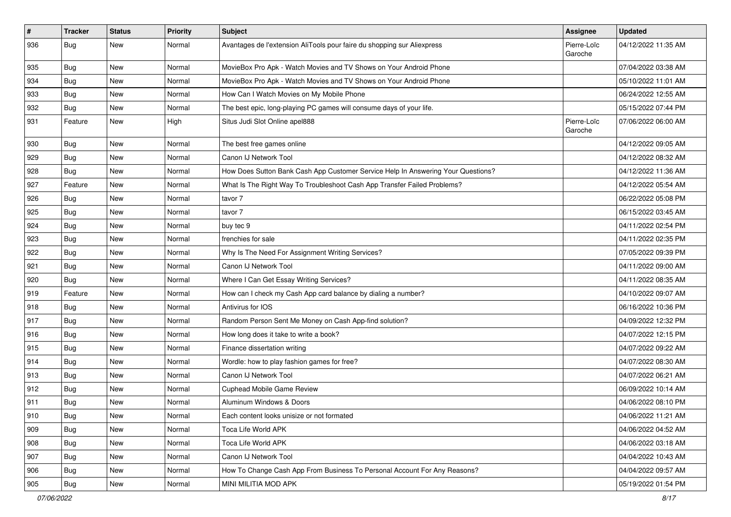| $\sharp$ | <b>Tracker</b> | <b>Status</b> | <b>Priority</b> | <b>Subject</b>                                                                   | <b>Assignee</b>        | <b>Updated</b>      |
|----------|----------------|---------------|-----------------|----------------------------------------------------------------------------------|------------------------|---------------------|
| 936      | Bug            | New           | Normal          | Avantages de l'extension AliTools pour faire du shopping sur Aliexpress          | Pierre-Loïc<br>Garoche | 04/12/2022 11:35 AM |
| 935      | <b>Bug</b>     | New           | Normal          | MovieBox Pro Apk - Watch Movies and TV Shows on Your Android Phone               |                        | 07/04/2022 03:38 AM |
| 934      | Bug            | New           | Normal          | MovieBox Pro Apk - Watch Movies and TV Shows on Your Android Phone               |                        | 05/10/2022 11:01 AM |
| 933      | <b>Bug</b>     | <b>New</b>    | Normal          | How Can I Watch Movies on My Mobile Phone                                        |                        | 06/24/2022 12:55 AM |
| 932      | <b>Bug</b>     | New           | Normal          | The best epic, long-playing PC games will consume days of your life.             |                        | 05/15/2022 07:44 PM |
| 931      | Feature        | New           | High            | Situs Judi Slot Online apel888                                                   | Pierre-Loïc<br>Garoche | 07/06/2022 06:00 AM |
| 930      | Bug            | <b>New</b>    | Normal          | The best free games online                                                       |                        | 04/12/2022 09:05 AM |
| 929      | Bug            | <b>New</b>    | Normal          | Canon IJ Network Tool                                                            |                        | 04/12/2022 08:32 AM |
| 928      | <b>Bug</b>     | New           | Normal          | How Does Sutton Bank Cash App Customer Service Help In Answering Your Questions? |                        | 04/12/2022 11:36 AM |
| 927      | Feature        | <b>New</b>    | Normal          | What Is The Right Way To Troubleshoot Cash App Transfer Failed Problems?         |                        | 04/12/2022 05:54 AM |
| 926      | <b>Bug</b>     | <b>New</b>    | Normal          | tavor 7                                                                          |                        | 06/22/2022 05:08 PM |
| 925      | Bug            | New           | Normal          | tavor 7                                                                          |                        | 06/15/2022 03:45 AM |
| 924      | <b>Bug</b>     | New           | Normal          | buy tec 9                                                                        |                        | 04/11/2022 02:54 PM |
| 923      | <b>Bug</b>     | New           | Normal          | frenchies for sale                                                               |                        | 04/11/2022 02:35 PM |
| 922      | <b>Bug</b>     | New           | Normal          | Why Is The Need For Assignment Writing Services?                                 |                        | 07/05/2022 09:39 PM |
| 921      | <b>Bug</b>     | <b>New</b>    | Normal          | Canon IJ Network Tool                                                            |                        | 04/11/2022 09:00 AM |
| 920      | <b>Bug</b>     | New           | Normal          | Where I Can Get Essay Writing Services?                                          |                        | 04/11/2022 08:35 AM |
| 919      | Feature        | New           | Normal          | How can I check my Cash App card balance by dialing a number?                    |                        | 04/10/2022 09:07 AM |
| 918      | <b>Bug</b>     | New           | Normal          | Antivirus for IOS                                                                |                        | 06/16/2022 10:36 PM |
| 917      | <b>Bug</b>     | New           | Normal          | Random Person Sent Me Money on Cash App-find solution?                           |                        | 04/09/2022 12:32 PM |
| 916      | Bug            | <b>New</b>    | Normal          | How long does it take to write a book?                                           |                        | 04/07/2022 12:15 PM |
| 915      | Bug            | New           | Normal          | Finance dissertation writing                                                     |                        | 04/07/2022 09:22 AM |
| 914      | Bug            | New           | Normal          | Wordle: how to play fashion games for free?                                      |                        | 04/07/2022 08:30 AM |
| 913      | <b>Bug</b>     | <b>New</b>    | Normal          | Canon IJ Network Tool                                                            |                        | 04/07/2022 06:21 AM |
| 912      | <b>Bug</b>     | New           | Normal          | <b>Cuphead Mobile Game Review</b>                                                |                        | 06/09/2022 10:14 AM |
| 911      | Bug            | New           | Normal          | Aluminum Windows & Doors                                                         |                        | 04/06/2022 08:10 PM |
| 910      | Bug            | New           | Normal          | Each content looks unisize or not formated                                       |                        | 04/06/2022 11:21 AM |
| 909      | Bug            | <b>New</b>    | Normal          | Toca Life World APK                                                              |                        | 04/06/2022 04:52 AM |
| 908      | Bug            | <b>New</b>    | Normal          | Toca Life World APK                                                              |                        | 04/06/2022 03:18 AM |
| 907      | Bug            | New           | Normal          | Canon IJ Network Tool                                                            |                        | 04/04/2022 10:43 AM |
| 906      | Bug            | <b>New</b>    | Normal          | How To Change Cash App From Business To Personal Account For Any Reasons?        |                        | 04/04/2022 09:57 AM |
| 905      | <b>Bug</b>     | New           | Normal          | MINI MILITIA MOD APK                                                             |                        | 05/19/2022 01:54 PM |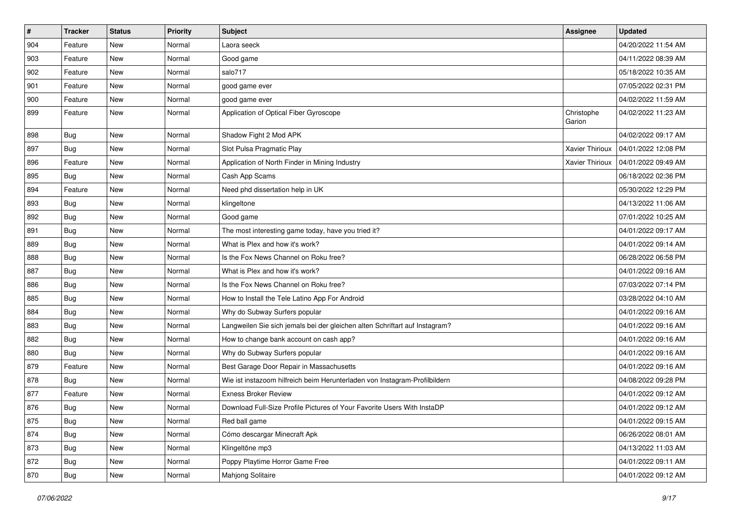| $\vert$ # | <b>Tracker</b> | <b>Status</b> | <b>Priority</b> | <b>Subject</b>                                                              | <b>Assignee</b>        | <b>Updated</b>      |
|-----------|----------------|---------------|-----------------|-----------------------------------------------------------------------------|------------------------|---------------------|
| 904       | Feature        | <b>New</b>    | Normal          | Laora seeck                                                                 |                        | 04/20/2022 11:54 AM |
| 903       | Feature        | <b>New</b>    | Normal          | Good game                                                                   |                        | 04/11/2022 08:39 AM |
| 902       | Feature        | New           | Normal          | salo717                                                                     |                        | 05/18/2022 10:35 AM |
| 901       | Feature        | <b>New</b>    | Normal          | good game ever                                                              |                        | 07/05/2022 02:31 PM |
| 900       | Feature        | <b>New</b>    | Normal          | good game ever                                                              |                        | 04/02/2022 11:59 AM |
| 899       | Feature        | <b>New</b>    | Normal          | Application of Optical Fiber Gyroscope                                      | Christophe<br>Garion   | 04/02/2022 11:23 AM |
| 898       | Bug            | <b>New</b>    | Normal          | Shadow Fight 2 Mod APK                                                      |                        | 04/02/2022 09:17 AM |
| 897       | Bug            | <b>New</b>    | Normal          | Slot Pulsa Pragmatic Play                                                   | <b>Xavier Thirioux</b> | 04/01/2022 12:08 PM |
| 896       | Feature        | <b>New</b>    | Normal          | Application of North Finder in Mining Industry                              | Xavier Thirioux        | 04/01/2022 09:49 AM |
| 895       | Bug            | New           | Normal          | Cash App Scams                                                              |                        | 06/18/2022 02:36 PM |
| 894       | Feature        | <b>New</b>    | Normal          | Need phd dissertation help in UK                                            |                        | 05/30/2022 12:29 PM |
| 893       | Bug            | <b>New</b>    | Normal          | klingeltone                                                                 |                        | 04/13/2022 11:06 AM |
| 892       | Bug            | <b>New</b>    | Normal          | Good game                                                                   |                        | 07/01/2022 10:25 AM |
| 891       | Bug            | <b>New</b>    | Normal          | The most interesting game today, have you tried it?                         |                        | 04/01/2022 09:17 AM |
| 889       | Bug            | <b>New</b>    | Normal          | What is Plex and how it's work?                                             |                        | 04/01/2022 09:14 AM |
| 888       | Bug            | <b>New</b>    | Normal          | Is the Fox News Channel on Roku free?                                       |                        | 06/28/2022 06:58 PM |
| 887       | Bug            | <b>New</b>    | Normal          | What is Plex and how it's work?                                             |                        | 04/01/2022 09:16 AM |
| 886       | Bug            | <b>New</b>    | Normal          | Is the Fox News Channel on Roku free?                                       |                        | 07/03/2022 07:14 PM |
| 885       | Bug            | <b>New</b>    | Normal          | How to Install the Tele Latino App For Android                              |                        | 03/28/2022 04:10 AM |
| 884       | Bug            | New           | Normal          | Why do Subway Surfers popular                                               |                        | 04/01/2022 09:16 AM |
| 883       | Bug            | <b>New</b>    | Normal          | Langweilen Sie sich jemals bei der gleichen alten Schriftart auf Instagram? |                        | 04/01/2022 09:16 AM |
| 882       | Bug            | <b>New</b>    | Normal          | How to change bank account on cash app?                                     |                        | 04/01/2022 09:16 AM |
| 880       | Bug            | <b>New</b>    | Normal          | Why do Subway Surfers popular                                               |                        | 04/01/2022 09:16 AM |
| 879       | Feature        | <b>New</b>    | Normal          | Best Garage Door Repair in Massachusetts                                    |                        | 04/01/2022 09:16 AM |
| 878       | Bug            | <b>New</b>    | Normal          | Wie ist instazoom hilfreich beim Herunterladen von Instagram-Profilbildern  |                        | 04/08/2022 09:28 PM |
| 877       | Feature        | <b>New</b>    | Normal          | <b>Exness Broker Review</b>                                                 |                        | 04/01/2022 09:12 AM |
| 876       | <b>Bug</b>     | <b>New</b>    | Normal          | Download Full-Size Profile Pictures of Your Favorite Users With InstaDP     |                        | 04/01/2022 09:12 AM |
| 875       | <b>Bug</b>     | New           | Normal          | Red ball game                                                               |                        | 04/01/2022 09:15 AM |
| 874       | Bug            | New           | Normal          | Cómo descargar Minecraft Apk                                                |                        | 06/26/2022 08:01 AM |
| 873       | <b>Bug</b>     | New           | Normal          | Klingeltöne mp3                                                             |                        | 04/13/2022 11:03 AM |
| 872       | <b>Bug</b>     | New           | Normal          | Poppy Playtime Horror Game Free                                             |                        | 04/01/2022 09:11 AM |
| 870       | <b>Bug</b>     | New           | Normal          | Mahjong Solitaire                                                           |                        | 04/01/2022 09:12 AM |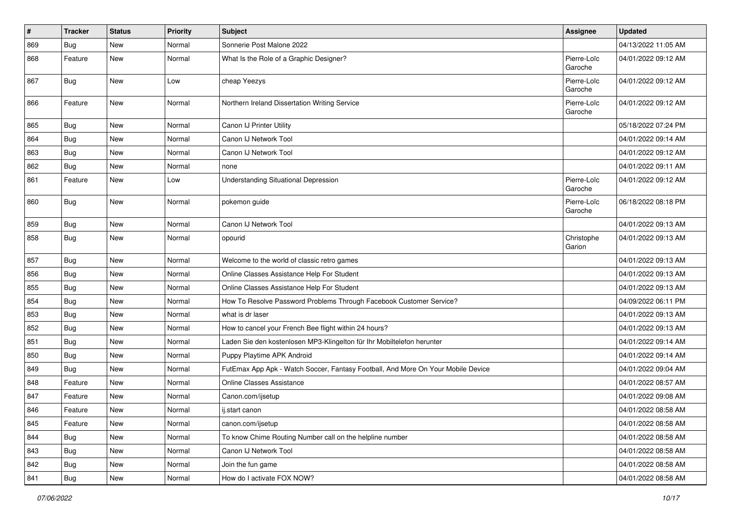| $\sharp$ | <b>Tracker</b> | <b>Status</b> | <b>Priority</b> | <b>Subject</b>                                                                   | Assignee               | <b>Updated</b>      |
|----------|----------------|---------------|-----------------|----------------------------------------------------------------------------------|------------------------|---------------------|
| 869      | Bug            | New           | Normal          | Sonnerie Post Malone 2022                                                        |                        | 04/13/2022 11:05 AM |
| 868      | Feature        | <b>New</b>    | Normal          | What Is the Role of a Graphic Designer?                                          | Pierre-Loïc<br>Garoche | 04/01/2022 09:12 AM |
| 867      | Bug            | New           | Low             | cheap Yeezys                                                                     | Pierre-Loïc<br>Garoche | 04/01/2022 09:12 AM |
| 866      | Feature        | New           | Normal          | Northern Ireland Dissertation Writing Service                                    | Pierre-Loïc<br>Garoche | 04/01/2022 09:12 AM |
| 865      | <b>Bug</b>     | <b>New</b>    | Normal          | Canon IJ Printer Utility                                                         |                        | 05/18/2022 07:24 PM |
| 864      | <b>Bug</b>     | <b>New</b>    | Normal          | Canon IJ Network Tool                                                            |                        | 04/01/2022 09:14 AM |
| 863      | <b>Bug</b>     | <b>New</b>    | Normal          | Canon IJ Network Tool                                                            |                        | 04/01/2022 09:12 AM |
| 862      | <b>Bug</b>     | <b>New</b>    | Normal          | none                                                                             |                        | 04/01/2022 09:11 AM |
| 861      | Feature        | New           | Low             | <b>Understanding Situational Depression</b>                                      | Pierre-Loïc<br>Garoche | 04/01/2022 09:12 AM |
| 860      | Bug            | <b>New</b>    | Normal          | pokemon guide                                                                    | Pierre-Loïc<br>Garoche | 06/18/2022 08:18 PM |
| 859      | <b>Bug</b>     | <b>New</b>    | Normal          | Canon IJ Network Tool                                                            |                        | 04/01/2022 09:13 AM |
| 858      | Bug            | New           | Normal          | opourid                                                                          | Christophe<br>Garion   | 04/01/2022 09:13 AM |
| 857      | Bug            | <b>New</b>    | Normal          | Welcome to the world of classic retro games                                      |                        | 04/01/2022 09:13 AM |
| 856      | <b>Bug</b>     | <b>New</b>    | Normal          | Online Classes Assistance Help For Student                                       |                        | 04/01/2022 09:13 AM |
| 855      | Bug            | <b>New</b>    | Normal          | Online Classes Assistance Help For Student                                       |                        | 04/01/2022 09:13 AM |
| 854      | <b>Bug</b>     | New           | Normal          | How To Resolve Password Problems Through Facebook Customer Service?              |                        | 04/09/2022 06:11 PM |
| 853      | <b>Bug</b>     | New           | Normal          | what is dr laser                                                                 |                        | 04/01/2022 09:13 AM |
| 852      | <b>Bug</b>     | <b>New</b>    | Normal          | How to cancel your French Bee flight within 24 hours?                            |                        | 04/01/2022 09:13 AM |
| 851      | <b>Bug</b>     | <b>New</b>    | Normal          | Laden Sie den kostenlosen MP3-Klingelton für Ihr Mobiltelefon herunter           |                        | 04/01/2022 09:14 AM |
| 850      | Bug            | <b>New</b>    | Normal          | Puppy Playtime APK Android                                                       |                        | 04/01/2022 09:14 AM |
| 849      | <b>Bug</b>     | New           | Normal          | FutEmax App Apk - Watch Soccer, Fantasy Football, And More On Your Mobile Device |                        | 04/01/2022 09:04 AM |
| 848      | Feature        | New           | Normal          | <b>Online Classes Assistance</b>                                                 |                        | 04/01/2022 08:57 AM |
| 847      | Feature        | <b>New</b>    | Normal          | Canon.com/ijsetup                                                                |                        | 04/01/2022 09:08 AM |
| 846      | Feature        | New           | Normal          | ij.start canon                                                                   |                        | 04/01/2022 08:58 AM |
| 845      | Feature        | New           | Normal          | canon.com/ijsetup                                                                |                        | 04/01/2022 08:58 AM |
| 844      | <b>Bug</b>     | New           | Normal          | To know Chime Routing Number call on the helpline number                         |                        | 04/01/2022 08:58 AM |
| 843      | Bug            | New           | Normal          | Canon IJ Network Tool                                                            |                        | 04/01/2022 08:58 AM |
| 842      | Bug            | New           | Normal          | Join the fun game                                                                |                        | 04/01/2022 08:58 AM |
| 841      | Bug            | New           | Normal          | How do I activate FOX NOW?                                                       |                        | 04/01/2022 08:58 AM |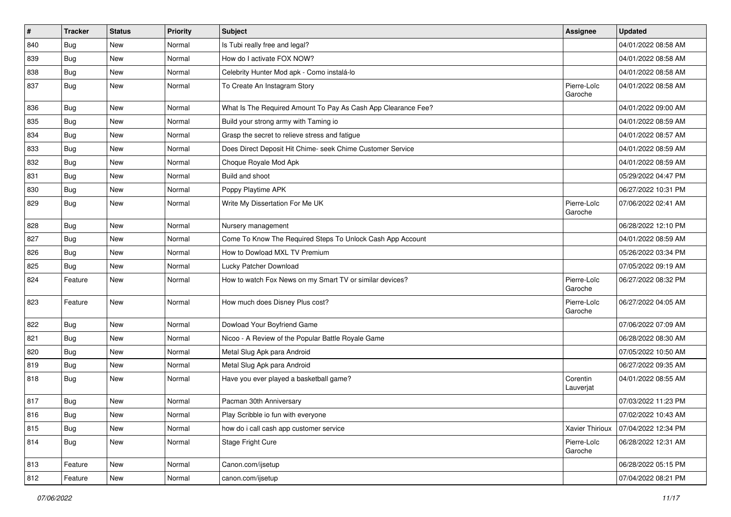| $\vert$ # | <b>Tracker</b> | <b>Status</b> | <b>Priority</b> | Subject                                                       | <b>Assignee</b>        | <b>Updated</b>      |
|-----------|----------------|---------------|-----------------|---------------------------------------------------------------|------------------------|---------------------|
| 840       | Bug            | <b>New</b>    | Normal          | Is Tubi really free and legal?                                |                        | 04/01/2022 08:58 AM |
| 839       | Bug            | <b>New</b>    | Normal          | How do I activate FOX NOW?                                    |                        | 04/01/2022 08:58 AM |
| 838       | Bug            | New           | Normal          | Celebrity Hunter Mod apk - Como instalá-lo                    |                        | 04/01/2022 08:58 AM |
| 837       | Bug            | <b>New</b>    | Normal          | To Create An Instagram Story                                  | Pierre-Loïc<br>Garoche | 04/01/2022 08:58 AM |
| 836       | Bug            | New           | Normal          | What Is The Required Amount To Pay As Cash App Clearance Fee? |                        | 04/01/2022 09:00 AM |
| 835       | Bug            | <b>New</b>    | Normal          | Build your strong army with Taming io                         |                        | 04/01/2022 08:59 AM |
| 834       | Bug            | <b>New</b>    | Normal          | Grasp the secret to relieve stress and fatigue                |                        | 04/01/2022 08:57 AM |
| 833       | Bug            | <b>New</b>    | Normal          | Does Direct Deposit Hit Chime- seek Chime Customer Service    |                        | 04/01/2022 08:59 AM |
| 832       | Bug            | <b>New</b>    | Normal          | Choque Royale Mod Apk                                         |                        | 04/01/2022 08:59 AM |
| 831       | Bug            | New           | Normal          | Build and shoot                                               |                        | 05/29/2022 04:47 PM |
| 830       | Bug            | <b>New</b>    | Normal          | Poppy Playtime APK                                            |                        | 06/27/2022 10:31 PM |
| 829       | Bug            | <b>New</b>    | Normal          | Write My Dissertation For Me UK                               | Pierre-Loïc<br>Garoche | 07/06/2022 02:41 AM |
| 828       | Bug            | <b>New</b>    | Normal          | Nursery management                                            |                        | 06/28/2022 12:10 PM |
| 827       | Bug            | New           | Normal          | Come To Know The Required Steps To Unlock Cash App Account    |                        | 04/01/2022 08:59 AM |
| 826       | Bug            | New           | Normal          | How to Dowload MXL TV Premium                                 |                        | 05/26/2022 03:34 PM |
| 825       | Bug            | <b>New</b>    | Normal          | Lucky Patcher Download                                        |                        | 07/05/2022 09:19 AM |
| 824       | Feature        | <b>New</b>    | Normal          | How to watch Fox News on my Smart TV or similar devices?      | Pierre-Loïc<br>Garoche | 06/27/2022 08:32 PM |
| 823       | Feature        | <b>New</b>    | Normal          | How much does Disney Plus cost?                               | Pierre-Loïc<br>Garoche | 06/27/2022 04:05 AM |
| 822       | Bug            | <b>New</b>    | Normal          | Dowload Your Boyfriend Game                                   |                        | 07/06/2022 07:09 AM |
| 821       | Bug            | New           | Normal          | Nicoo - A Review of the Popular Battle Royale Game            |                        | 06/28/2022 08:30 AM |
| 820       | Bug            | <b>New</b>    | Normal          | Metal Slug Apk para Android                                   |                        | 07/05/2022 10:50 AM |
| 819       | Bug            | <b>New</b>    | Normal          | Metal Slug Apk para Android                                   |                        | 06/27/2022 09:35 AM |
| 818       | Bug            | <b>New</b>    | Normal          | Have you ever played a basketball game?                       | Corentin<br>Lauverjat  | 04/01/2022 08:55 AM |
| 817       | Bug            | New           | Normal          | Pacman 30th Anniversary                                       |                        | 07/03/2022 11:23 PM |
| 816       | Bug            | New           | Normal          | Play Scribble io fun with everyone                            |                        | 07/02/2022 10:43 AM |
| 815       | Bug            | New           | Normal          | how do i call cash app customer service                       | Xavier Thirioux        | 07/04/2022 12:34 PM |
| 814       | Bug            | New           | Normal          | Stage Fright Cure                                             | Pierre-Loïc<br>Garoche | 06/28/2022 12:31 AM |
| 813       | Feature        | New           | Normal          | Canon.com/ijsetup                                             |                        | 06/28/2022 05:15 PM |
| 812       | Feature        | New           | Normal          | canon.com/ijsetup                                             |                        | 07/04/2022 08:21 PM |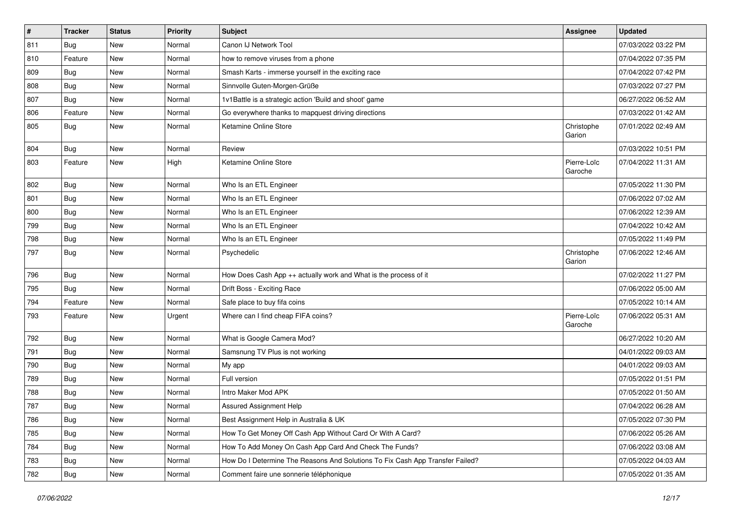| #   | <b>Tracker</b> | <b>Status</b> | <b>Priority</b> | <b>Subject</b>                                                                | Assignee               | <b>Updated</b>      |
|-----|----------------|---------------|-----------------|-------------------------------------------------------------------------------|------------------------|---------------------|
| 811 | Bug            | <b>New</b>    | Normal          | Canon IJ Network Tool                                                         |                        | 07/03/2022 03:22 PM |
| 810 | Feature        | <b>New</b>    | Normal          | how to remove viruses from a phone                                            |                        | 07/04/2022 07:35 PM |
| 809 | Bug            | <b>New</b>    | Normal          | Smash Karts - immerse yourself in the exciting race                           |                        | 07/04/2022 07:42 PM |
| 808 | Bug            | <b>New</b>    | Normal          | Sinnvolle Guten-Morgen-Grüße                                                  |                        | 07/03/2022 07:27 PM |
| 807 | Bug            | <b>New</b>    | Normal          | 1v1Battle is a strategic action 'Build and shoot' game                        |                        | 06/27/2022 06:52 AM |
| 806 | Feature        | <b>New</b>    | Normal          | Go everywhere thanks to mapquest driving directions                           |                        | 07/03/2022 01:42 AM |
| 805 | Bug            | New           | Normal          | Ketamine Online Store                                                         | Christophe<br>Garion   | 07/01/2022 02:49 AM |
| 804 | Bug            | <b>New</b>    | Normal          | Review                                                                        |                        | 07/03/2022 10:51 PM |
| 803 | Feature        | New           | High            | Ketamine Online Store                                                         | Pierre-Loïc<br>Garoche | 07/04/2022 11:31 AM |
| 802 | Bug            | <b>New</b>    | Normal          | Who Is an ETL Engineer                                                        |                        | 07/05/2022 11:30 PM |
| 801 | Bug            | <b>New</b>    | Normal          | Who Is an ETL Engineer                                                        |                        | 07/06/2022 07:02 AM |
| 800 | Bug            | <b>New</b>    | Normal          | Who Is an ETL Engineer                                                        |                        | 07/06/2022 12:39 AM |
| 799 | Bug            | <b>New</b>    | Normal          | Who Is an ETL Engineer                                                        |                        | 07/04/2022 10:42 AM |
| 798 | Bug            | <b>New</b>    | Normal          | Who Is an ETL Engineer                                                        |                        | 07/05/2022 11:49 PM |
| 797 | Bug            | <b>New</b>    | Normal          | Psychedelic                                                                   | Christophe<br>Garion   | 07/06/2022 12:46 AM |
| 796 | Bug            | <b>New</b>    | Normal          | How Does Cash App ++ actually work and What is the process of it              |                        | 07/02/2022 11:27 PM |
| 795 | Bug            | <b>New</b>    | Normal          | Drift Boss - Exciting Race                                                    |                        | 07/06/2022 05:00 AM |
| 794 | Feature        | New           | Normal          | Safe place to buy fifa coins                                                  |                        | 07/05/2022 10:14 AM |
| 793 | Feature        | <b>New</b>    | Urgent          | Where can I find cheap FIFA coins?                                            | Pierre-Loïc<br>Garoche | 07/06/2022 05:31 AM |
| 792 | Bug            | <b>New</b>    | Normal          | What is Google Camera Mod?                                                    |                        | 06/27/2022 10:20 AM |
| 791 | Bug            | <b>New</b>    | Normal          | Samsnung TV Plus is not working                                               |                        | 04/01/2022 09:03 AM |
| 790 | Bug            | <b>New</b>    | Normal          | My app                                                                        |                        | 04/01/2022 09:03 AM |
| 789 | Bug            | <b>New</b>    | Normal          | Full version                                                                  |                        | 07/05/2022 01:51 PM |
| 788 | Bug            | <b>New</b>    | Normal          | Intro Maker Mod APK                                                           |                        | 07/05/2022 01:50 AM |
| 787 | Bug            | New           | Normal          | Assured Assignment Help                                                       |                        | 07/04/2022 06:28 AM |
| 786 | <b>Bug</b>     | New           | Normal          | Best Assignment Help in Australia & UK                                        |                        | 07/05/2022 07:30 PM |
| 785 | Bug            | New           | Normal          | How To Get Money Off Cash App Without Card Or With A Card?                    |                        | 07/06/2022 05:26 AM |
| 784 | <b>Bug</b>     | New           | Normal          | How To Add Money On Cash App Card And Check The Funds?                        |                        | 07/06/2022 03:08 AM |
| 783 | <b>Bug</b>     | New           | Normal          | How Do I Determine The Reasons And Solutions To Fix Cash App Transfer Failed? |                        | 07/05/2022 04:03 AM |
| 782 | <b>Bug</b>     | New           | Normal          | Comment faire une sonnerie téléphonique                                       |                        | 07/05/2022 01:35 AM |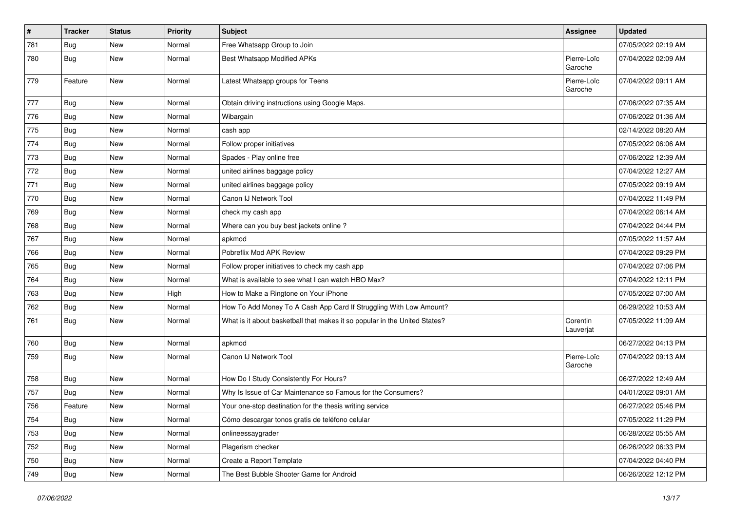| $\vert$ # | <b>Tracker</b> | <b>Status</b> | <b>Priority</b> | Subject                                                                    | <b>Assignee</b>        | <b>Updated</b>      |
|-----------|----------------|---------------|-----------------|----------------------------------------------------------------------------|------------------------|---------------------|
| 781       | Bug            | <b>New</b>    | Normal          | Free Whatsapp Group to Join                                                |                        | 07/05/2022 02:19 AM |
| 780       | Bug            | <b>New</b>    | Normal          | <b>Best Whatsapp Modified APKs</b>                                         | Pierre-Loïc<br>Garoche | 07/04/2022 02:09 AM |
| 779       | Feature        | <b>New</b>    | Normal          | Latest Whatsapp groups for Teens                                           | Pierre-Loïc<br>Garoche | 07/04/2022 09:11 AM |
| 777       | Bug            | <b>New</b>    | Normal          | Obtain driving instructions using Google Maps.                             |                        | 07/06/2022 07:35 AM |
| 776       | Bug            | <b>New</b>    | Normal          | Wibargain                                                                  |                        | 07/06/2022 01:36 AM |
| 775       | Bug            | <b>New</b>    | Normal          | cash app                                                                   |                        | 02/14/2022 08:20 AM |
| 774       | Bug            | <b>New</b>    | Normal          | Follow proper initiatives                                                  |                        | 07/05/2022 06:06 AM |
| 773       | <b>Bug</b>     | <b>New</b>    | Normal          | Spades - Play online free                                                  |                        | 07/06/2022 12:39 AM |
| 772       | Bug            | New           | Normal          | united airlines baggage policy                                             |                        | 07/04/2022 12:27 AM |
| 771       | Bug            | <b>New</b>    | Normal          | united airlines baggage policy                                             |                        | 07/05/2022 09:19 AM |
| 770       | Bug            | <b>New</b>    | Normal          | Canon IJ Network Tool                                                      |                        | 07/04/2022 11:49 PM |
| 769       | Bug            | <b>New</b>    | Normal          | check my cash app                                                          |                        | 07/04/2022 06:14 AM |
| 768       | Bug            | <b>New</b>    | Normal          | Where can you buy best jackets online?                                     |                        | 07/04/2022 04:44 PM |
| 767       | Bug            | New           | Normal          | apkmod                                                                     |                        | 07/05/2022 11:57 AM |
| 766       | Bug            | <b>New</b>    | Normal          | Pobreflix Mod APK Review                                                   |                        | 07/04/2022 09:29 PM |
| 765       | Bug            | New           | Normal          | Follow proper initiatives to check my cash app                             |                        | 07/04/2022 07:06 PM |
| 764       | <b>Bug</b>     | <b>New</b>    | Normal          | What is available to see what I can watch HBO Max?                         |                        | 07/04/2022 12:11 PM |
| 763       | Bug            | <b>New</b>    | High            | How to Make a Ringtone on Your iPhone                                      |                        | 07/05/2022 07:00 AM |
| 762       | Bug            | New           | Normal          | How To Add Money To A Cash App Card If Struggling With Low Amount?         |                        | 06/29/2022 10:53 AM |
| 761       | Bug            | New           | Normal          | What is it about basketball that makes it so popular in the United States? | Corentin<br>Lauverjat  | 07/05/2022 11:09 AM |
| 760       | Bug            | New           | Normal          | apkmod                                                                     |                        | 06/27/2022 04:13 PM |
| 759       | Bug            | <b>New</b>    | Normal          | Canon IJ Network Tool                                                      | Pierre-Loïc<br>Garoche | 07/04/2022 09:13 AM |
| 758       | Bug            | <b>New</b>    | Normal          | How Do I Study Consistently For Hours?                                     |                        | 06/27/2022 12:49 AM |
| 757       | Bug            | <b>New</b>    | Normal          | Why Is Issue of Car Maintenance so Famous for the Consumers?               |                        | 04/01/2022 09:01 AM |
| 756       | Feature        | New           | Normal          | Your one-stop destination for the thesis writing service                   |                        | 06/27/2022 05:46 PM |
| 754       | <b>Bug</b>     | New           | Normal          | Cómo descargar tonos gratis de teléfono celular                            |                        | 07/05/2022 11:29 PM |
| 753       | <b>Bug</b>     | New           | Normal          | onlineessaygrader                                                          |                        | 06/28/2022 05:55 AM |
| 752       | <b>Bug</b>     | New           | Normal          | Plagerism checker                                                          |                        | 06/26/2022 06:33 PM |
| 750       | <b>Bug</b>     | New           | Normal          | Create a Report Template                                                   |                        | 07/04/2022 04:40 PM |
| 749       | <b>Bug</b>     | New           | Normal          | The Best Bubble Shooter Game for Android                                   |                        | 06/26/2022 12:12 PM |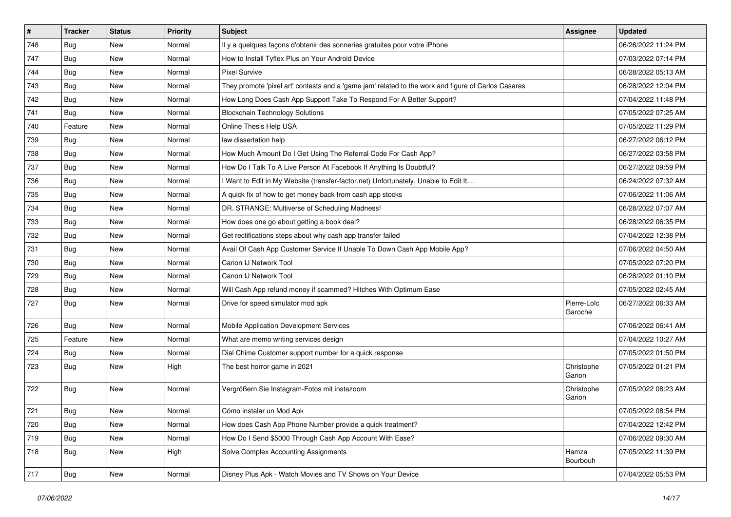| $\vert$ # | <b>Tracker</b> | <b>Status</b> | <b>Priority</b> | Subject                                                                                             | Assignee               | <b>Updated</b>      |
|-----------|----------------|---------------|-----------------|-----------------------------------------------------------------------------------------------------|------------------------|---------------------|
| 748       | <b>Bug</b>     | New           | Normal          | Il y a quelques façons d'obtenir des sonneries gratuites pour votre iPhone                          |                        | 06/26/2022 11:24 PM |
| 747       | Bug            | New           | Normal          | How to Install Tyflex Plus on Your Android Device                                                   |                        | 07/03/2022 07:14 PM |
| 744       | Bug            | New           | Normal          | <b>Pixel Survive</b>                                                                                |                        | 06/28/2022 05:13 AM |
| 743       | Bug            | New           | Normal          | They promote 'pixel art' contests and a 'game jam' related to the work and figure of Carlos Casares |                        | 06/28/2022 12:04 PM |
| 742       | Bug            | New           | Normal          | How Long Does Cash App Support Take To Respond For A Better Support?                                |                        | 07/04/2022 11:48 PM |
| 741       | Bug            | New           | Normal          | <b>Blockchain Technology Solutions</b>                                                              |                        | 07/05/2022 07:25 AM |
| 740       | Feature        | New           | Normal          | Online Thesis Help USA                                                                              |                        | 07/05/2022 11:29 PM |
| 739       | Bug            | New           | Normal          | law dissertation help                                                                               |                        | 06/27/2022 06:12 PM |
| 738       | Bug            | New           | Normal          | How Much Amount Do I Get Using The Referral Code For Cash App?                                      |                        | 06/27/2022 03:58 PM |
| 737       | Bug            | <b>New</b>    | Normal          | How Do I Talk To A Live Person At Facebook If Anything Is Doubtful?                                 |                        | 06/27/2022 09:59 PM |
| 736       | <b>Bug</b>     | New           | Normal          | Want to Edit in My Website (transfer-factor.net) Unfortunately, Unable to Edit It                   |                        | 06/24/2022 07:32 AM |
| 735       | Bug            | New           | Normal          | A quick fix of how to get money back from cash app stocks                                           |                        | 07/06/2022 11:06 AM |
| 734       | Bug            | <b>New</b>    | Normal          | DR. STRANGE: Multiverse of Scheduling Madness!                                                      |                        | 06/28/2022 07:07 AM |
| 733       | Bug            | New           | Normal          | How does one go about getting a book deal?                                                          |                        | 06/28/2022 06:35 PM |
| 732       | Bug            | <b>New</b>    | Normal          | Get rectifications steps about why cash app transfer failed                                         |                        | 07/04/2022 12:38 PM |
| 731       | Bug            | New           | Normal          | Avail Of Cash App Customer Service If Unable To Down Cash App Mobile App?                           |                        | 07/06/2022 04:50 AM |
| 730       | Bug            | <b>New</b>    | Normal          | Canon IJ Network Tool                                                                               |                        | 07/05/2022 07:20 PM |
| 729       | Bug            | New           | Normal          | Canon IJ Network Tool                                                                               |                        | 06/28/2022 01:10 PM |
| 728       | Bug            | New           | Normal          | Will Cash App refund money if scammed? Hitches With Optimum Ease                                    |                        | 07/05/2022 02:45 AM |
| 727       | <b>Bug</b>     | <b>New</b>    | Normal          | Drive for speed simulator mod apk                                                                   | Pierre-Loïc<br>Garoche | 06/27/2022 06:33 AM |
| 726       | Bug            | New           | Normal          | Mobile Application Development Services                                                             |                        | 07/06/2022 06:41 AM |
| 725       | Feature        | New           | Normal          | What are memo writing services design                                                               |                        | 07/04/2022 10:27 AM |
| 724       | <b>Bug</b>     | New           | Normal          | Dial Chime Customer support number for a quick response                                             |                        | 07/05/2022 01:50 PM |
| 723       | <b>Bug</b>     | New           | High            | The best horror game in 2021                                                                        | Christophe<br>Garion   | 07/05/2022 01:21 PM |
| 722       | <b>Bug</b>     | New           | Normal          | Vergrößern Sie Instagram-Fotos mit instazoom                                                        | Christophe<br>Garion   | 07/05/2022 08:23 AM |
| 721       | Bug            | New           | Normal          | Cómo instalar un Mod Apk                                                                            |                        | 07/05/2022 08:54 PM |
| 720       | <b>Bug</b>     | New           | Normal          | How does Cash App Phone Number provide a quick treatment?                                           |                        | 07/04/2022 12:42 PM |
| 719       | <b>Bug</b>     | New           | Normal          | How Do I Send \$5000 Through Cash App Account With Ease?                                            |                        | 07/06/2022 09:30 AM |
| 718       | Bug            | New           | High            | Solve Complex Accounting Assignments                                                                | Hamza<br>Bourbouh      | 07/05/2022 11:39 PM |
| 717       | <b>Bug</b>     | New           | Normal          | Disney Plus Apk - Watch Movies and TV Shows on Your Device                                          |                        | 07/04/2022 05:53 PM |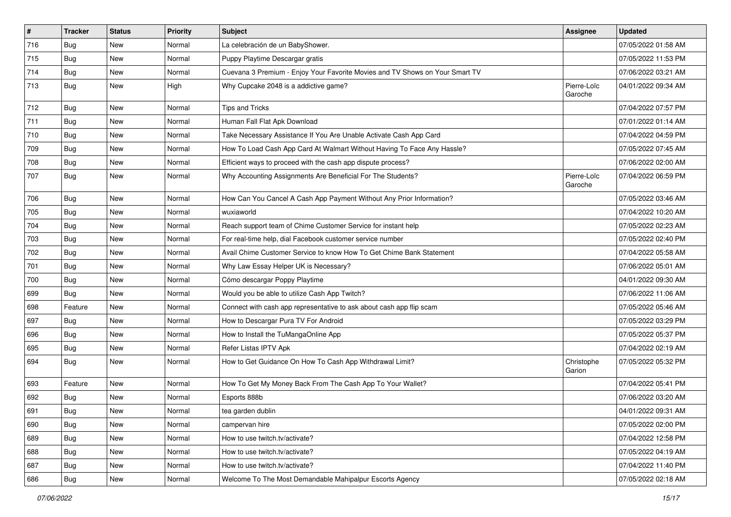| $\pmb{\#}$ | <b>Tracker</b> | <b>Status</b> | Priority | <b>Subject</b>                                                               | Assignee               | <b>Updated</b>      |
|------------|----------------|---------------|----------|------------------------------------------------------------------------------|------------------------|---------------------|
| 716        | Bug            | New           | Normal   | La celebración de un BabyShower.                                             |                        | 07/05/2022 01:58 AM |
| 715        | Bug            | <b>New</b>    | Normal   | Puppy Playtime Descargar gratis                                              |                        | 07/05/2022 11:53 PM |
| 714        | Bug            | New           | Normal   | Cuevana 3 Premium - Enjoy Your Favorite Movies and TV Shows on Your Smart TV |                        | 07/06/2022 03:21 AM |
| 713        | Bug            | New           | High     | Why Cupcake 2048 is a addictive game?                                        | Pierre-Loïc<br>Garoche | 04/01/2022 09:34 AM |
| 712        | Bug            | New           | Normal   | <b>Tips and Tricks</b>                                                       |                        | 07/04/2022 07:57 PM |
| 711        | Bug            | New           | Normal   | Human Fall Flat Apk Download                                                 |                        | 07/01/2022 01:14 AM |
| 710        | Bug            | New           | Normal   | Take Necessary Assistance If You Are Unable Activate Cash App Card           |                        | 07/04/2022 04:59 PM |
| 709        | Bug            | New           | Normal   | How To Load Cash App Card At Walmart Without Having To Face Any Hassle?      |                        | 07/05/2022 07:45 AM |
| 708        | Bug            | <b>New</b>    | Normal   | Efficient ways to proceed with the cash app dispute process?                 |                        | 07/06/2022 02:00 AM |
| 707        | Bug            | New           | Normal   | Why Accounting Assignments Are Beneficial For The Students?                  | Pierre-Loïc<br>Garoche | 07/04/2022 06:59 PM |
| 706        | Bug            | <b>New</b>    | Normal   | How Can You Cancel A Cash App Payment Without Any Prior Information?         |                        | 07/05/2022 03:46 AM |
| 705        | Bug            | New           | Normal   | wuxiaworld                                                                   |                        | 07/04/2022 10:20 AM |
| 704        | Bug            | New           | Normal   | Reach support team of Chime Customer Service for instant help                |                        | 07/05/2022 02:23 AM |
| 703        | Bug            | New           | Normal   | For real-time help, dial Facebook customer service number                    |                        | 07/05/2022 02:40 PM |
| 702        | Bug            | New           | Normal   | Avail Chime Customer Service to know How To Get Chime Bank Statement         |                        | 07/04/2022 05:58 AM |
| 701        | Bug            | <b>New</b>    | Normal   | Why Law Essay Helper UK is Necessary?                                        |                        | 07/06/2022 05:01 AM |
| 700        | Bug            | New           | Normal   | Cómo descargar Poppy Playtime                                                |                        | 04/01/2022 09:30 AM |
| 699        | Bug            | <b>New</b>    | Normal   | Would you be able to utilize Cash App Twitch?                                |                        | 07/06/2022 11:06 AM |
| 698        | Feature        | <b>New</b>    | Normal   | Connect with cash app representative to ask about cash app flip scam         |                        | 07/05/2022 05:46 AM |
| 697        | Bug            | New           | Normal   | How to Descargar Pura TV For Android                                         |                        | 07/05/2022 03:29 PM |
| 696        | Bug            | <b>New</b>    | Normal   | How to Install the TuMangaOnline App                                         |                        | 07/05/2022 05:37 PM |
| 695        | Bug            | New           | Normal   | Refer Listas IPTV Apk                                                        |                        | 07/04/2022 02:19 AM |
| 694        | Bug            | New           | Normal   | How to Get Guidance On How To Cash App Withdrawal Limit?                     | Christophe<br>Garion   | 07/05/2022 05:32 PM |
| 693        | Feature        | New           | Normal   | How To Get My Money Back From The Cash App To Your Wallet?                   |                        | 07/04/2022 05:41 PM |
| 692        | Bug            | New           | Normal   | Esports 888b                                                                 |                        | 07/06/2022 03:20 AM |
| 691        | Bug            | New           | Normal   | tea garden dublin                                                            |                        | 04/01/2022 09:31 AM |
| 690        | Bug            | New           | Normal   | campervan hire                                                               |                        | 07/05/2022 02:00 PM |
| 689        | <b>Bug</b>     | New           | Normal   | How to use twitch.tv/activate?                                               |                        | 07/04/2022 12:58 PM |
| 688        | Bug            | New           | Normal   | How to use twitch.tv/activate?                                               |                        | 07/05/2022 04:19 AM |
| 687        | <b>Bug</b>     | New           | Normal   | How to use twitch.tv/activate?                                               |                        | 07/04/2022 11:40 PM |
| 686        | <b>Bug</b>     | New           | Normal   | Welcome To The Most Demandable Mahipalpur Escorts Agency                     |                        | 07/05/2022 02:18 AM |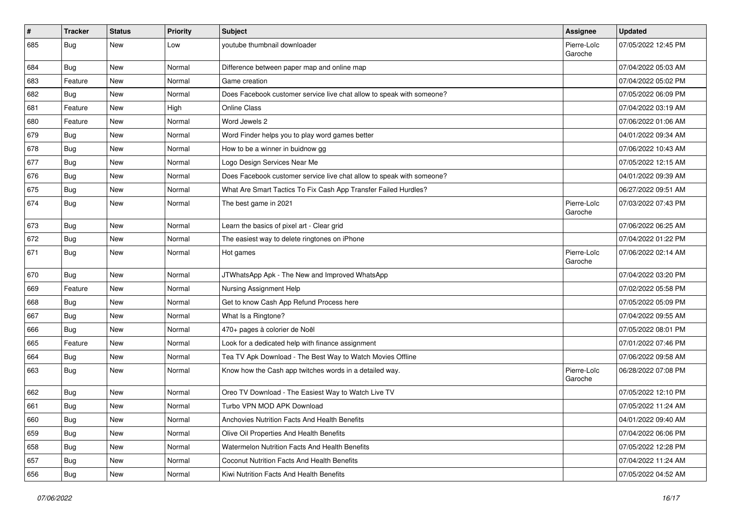| $\vert$ # | <b>Tracker</b> | <b>Status</b> | Priority | <b>Subject</b>                                                        | Assignee               | <b>Updated</b>      |
|-----------|----------------|---------------|----------|-----------------------------------------------------------------------|------------------------|---------------------|
| 685       | Bug            | <b>New</b>    | Low      | youtube thumbnail downloader                                          | Pierre-Loïc<br>Garoche | 07/05/2022 12:45 PM |
| 684       | Bug            | <b>New</b>    | Normal   | Difference between paper map and online map                           |                        | 07/04/2022 05:03 AM |
| 683       | Feature        | <b>New</b>    | Normal   | Game creation                                                         |                        | 07/04/2022 05:02 PM |
| 682       | Bug            | <b>New</b>    | Normal   | Does Facebook customer service live chat allow to speak with someone? |                        | 07/05/2022 06:09 PM |
| 681       | Feature        | <b>New</b>    | High     | Online Class                                                          |                        | 07/04/2022 03:19 AM |
| 680       | Feature        | <b>New</b>    | Normal   | Word Jewels 2                                                         |                        | 07/06/2022 01:06 AM |
| 679       | Bug            | New           | Normal   | Word Finder helps you to play word games better                       |                        | 04/01/2022 09:34 AM |
| 678       | <b>Bug</b>     | <b>New</b>    | Normal   | How to be a winner in buidnow gg                                      |                        | 07/06/2022 10:43 AM |
| 677       | Bug            | <b>New</b>    | Normal   | Logo Design Services Near Me                                          |                        | 07/05/2022 12:15 AM |
| 676       | Bug            | <b>New</b>    | Normal   | Does Facebook customer service live chat allow to speak with someone? |                        | 04/01/2022 09:39 AM |
| 675       | Bug            | <b>New</b>    | Normal   | What Are Smart Tactics To Fix Cash App Transfer Failed Hurdles?       |                        | 06/27/2022 09:51 AM |
| 674       | Bug            | <b>New</b>    | Normal   | The best game in 2021                                                 | Pierre-Loïc<br>Garoche | 07/03/2022 07:43 PM |
| 673       | Bug            | <b>New</b>    | Normal   | Learn the basics of pixel art - Clear grid                            |                        | 07/06/2022 06:25 AM |
| 672       | Bug            | <b>New</b>    | Normal   | The easiest way to delete ringtones on iPhone                         |                        | 07/04/2022 01:22 PM |
| 671       | Bug            | <b>New</b>    | Normal   | Hot games                                                             | Pierre-Loïc<br>Garoche | 07/06/2022 02:14 AM |
| 670       | Bug            | <b>New</b>    | Normal   | JTWhatsApp Apk - The New and Improved WhatsApp                        |                        | 07/04/2022 03:20 PM |
| 669       | Feature        | <b>New</b>    | Normal   | Nursing Assignment Help                                               |                        | 07/02/2022 05:58 PM |
| 668       | Bug            | <b>New</b>    | Normal   | Get to know Cash App Refund Process here                              |                        | 07/05/2022 05:09 PM |
| 667       | Bug            | <b>New</b>    | Normal   | What Is a Ringtone?                                                   |                        | 07/04/2022 09:55 AM |
| 666       | Bug            | <b>New</b>    | Normal   | 470+ pages à colorier de Noël                                         |                        | 07/05/2022 08:01 PM |
| 665       | Feature        | <b>New</b>    | Normal   | Look for a dedicated help with finance assignment                     |                        | 07/01/2022 07:46 PM |
| 664       | Bug            | <b>New</b>    | Normal   | Tea TV Apk Download - The Best Way to Watch Movies Offline            |                        | 07/06/2022 09:58 AM |
| 663       | Bug            | <b>New</b>    | Normal   | Know how the Cash app twitches words in a detailed way.               | Pierre-Loïc<br>Garoche | 06/28/2022 07:08 PM |
| 662       | <b>Bug</b>     | <b>New</b>    | Normal   | Oreo TV Download - The Easiest Way to Watch Live TV                   |                        | 07/05/2022 12:10 PM |
| 661       | Bug            | New           | Normal   | Turbo VPN MOD APK Download                                            |                        | 07/05/2022 11:24 AM |
| 660       | <b>Bug</b>     | New           | Normal   | Anchovies Nutrition Facts And Health Benefits                         |                        | 04/01/2022 09:40 AM |
| 659       | Bug            | New           | Normal   | Olive Oil Properties And Health Benefits                              |                        | 07/04/2022 06:06 PM |
| 658       | Bug            | New           | Normal   | Watermelon Nutrition Facts And Health Benefits                        |                        | 07/05/2022 12:28 PM |
| 657       | Bug            | New           | Normal   | Coconut Nutrition Facts And Health Benefits                           |                        | 07/04/2022 11:24 AM |
| 656       | <b>Bug</b>     | New           | Normal   | Kiwi Nutrition Facts And Health Benefits                              |                        | 07/05/2022 04:52 AM |